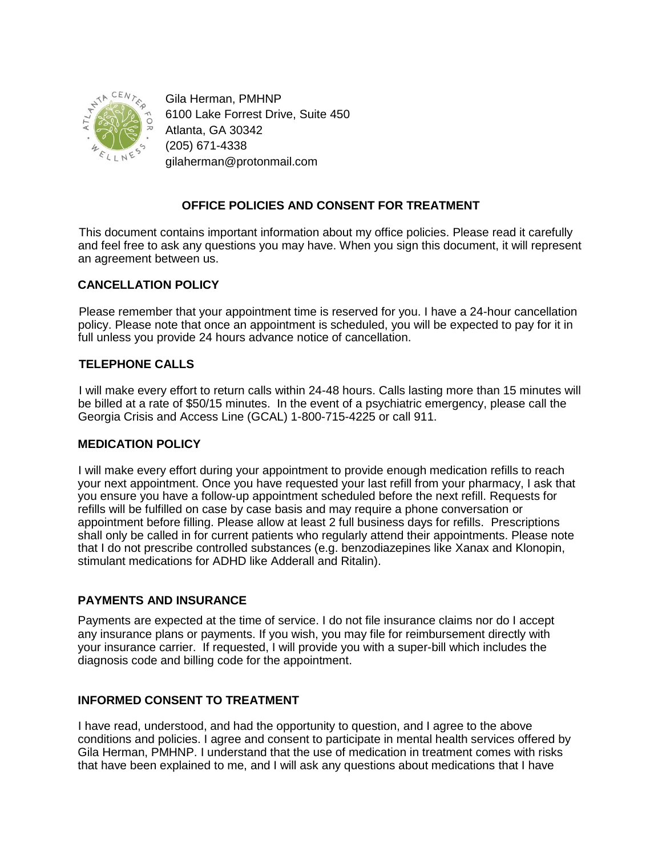

Gila Herman, PMHNP 6100 Lake Forrest Drive, Suite 450 Atlanta, GA 30342 (205) 671-4338 gilaherman@protonmail.com

# **OFFICE POLICIES AND CONSENT FOR TREATMENT**

This document contains important information about my office policies. Please read it carefully and feel free to ask any questions you may have. When you sign this document, it will represent an agreement between us.

### **CANCELLATION POLICY**

Please remember that your appointment time is reserved for you. I have a 24-hour cancellation policy. Please note that once an appointment is scheduled, you will be expected to pay for it in full unless you provide 24 hours advance notice of cancellation.

#### **TELEPHONE CALLS**

I will make every effort to return calls within 24-48 hours. Calls lasting more than 15 minutes will be billed at a rate of \$50/15 minutes. In the event of a psychiatric emergency, please call the Georgia Crisis and Access Line (GCAL) 1-800-715-4225 or call 911.

#### **MEDICATION POLICY**

I will make every effort during your appointment to provide enough medication refills to reach your next appointment. Once you have requested your last refill from your pharmacy, I ask that you ensure you have a follow-up appointment scheduled before the next refill. Requests for refills will be fulfilled on case by case basis and may require a phone conversation or appointment before filling. Please allow at least 2 full business days for refills. Prescriptions shall only be called in for current patients who regularly attend their appointments. Please note that I do not prescribe controlled substances (e.g. benzodiazepines like Xanax and Klonopin, stimulant medications for ADHD like Adderall and Ritalin).

#### **PAYMENTS AND INSURANCE**

Payments are expected at the time of service. I do not file insurance claims nor do I accept any insurance plans or payments. If you wish, you may file for reimbursement directly with your insurance carrier. If requested, I will provide you with a super-bill which includes the diagnosis code and billing code for the appointment.

## **INFORMED CONSENT TO TREATMENT**

I have read, understood, and had the opportunity to question, and I agree to the above conditions and policies. I agree and consent to participate in mental health services offered by Gila Herman, PMHNP. I understand that the use of medication in treatment comes with risks that have been explained to me, and I will ask any questions about medications that I have